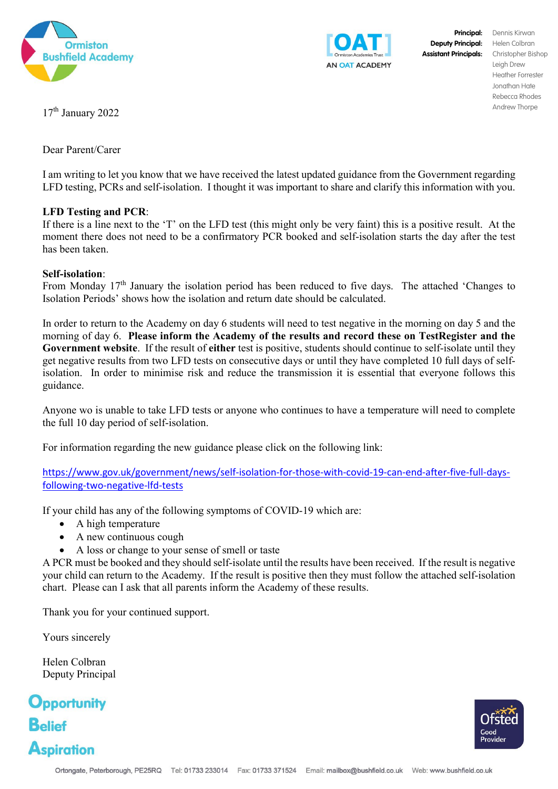



**Deputy Principal:** Helen Colbran **Assistant Principals:** Christopher Bishop

**Principal:** Dennis Kirwan Leigh Drew Heather Forrester Jonathan Hate Rebecca Rhodes

Andrew Thorpe **17th January 2022** 

Dear Parent/Carer

I am writing to let you know that we have received the latest updated guidance from the Government regarding LFD testing, PCRs and self-isolation. I thought it was important to share and clarify this information with you.

## **LFD Testing and PCR**:

If there is a line next to the 'T' on the LFD test (this might only be very faint) this is a positive result. At the moment there does not need to be a confirmatory PCR booked and self-isolation starts the day after the test has been taken.

## **Self-isolation**:

From Monday 17<sup>th</sup> January the isolation period has been reduced to five days. The attached 'Changes to Isolation Periods' shows how the isolation and return date should be calculated.

In order to return to the Academy on day 6 students will need to test negative in the morning on day 5 and the morning of day 6. **Please inform the Academy of the results and record these on TestRegister and the Government website**. If the result of **either** test is positive, students should continue to self-isolate until they get negative results from two LFD tests on consecutive days or until they have completed 10 full days of selfisolation. In order to minimise risk and reduce the transmission it is essential that everyone follows this guidance.

Anyone wo is unable to take LFD tests or anyone who continues to have a temperature will need to complete the full 10 day period of self-isolation.

For information regarding the new guidance please click on the following link:

[https://www.gov.uk/government/news/self-isolation-for-those-with-covid-19-can-end-after-five-full-days](https://www.gov.uk/government/news/self-isolation-for-those-with-covid-19-can-end-after-five-full-days-following-two-negative-lfd-tests)[following-two-negative-lfd-tests](https://www.gov.uk/government/news/self-isolation-for-those-with-covid-19-can-end-after-five-full-days-following-two-negative-lfd-tests)

If your child has any of the following symptoms of COVID-19 which are:

- A high temperature
- A new continuous cough
- A loss or change to your sense of smell or taste

A PCR must be booked and they should self-isolate until the results have been received. If the result is negative your child can return to the Academy. If the result is positive then they must follow the attached self-isolation chart. Please can I ask that all parents inform the Academy of these results.

Thank you for your continued support.

Yours sincerely

Helen Colbran Deputy Principal

Opportunity **Belief Aspiration**